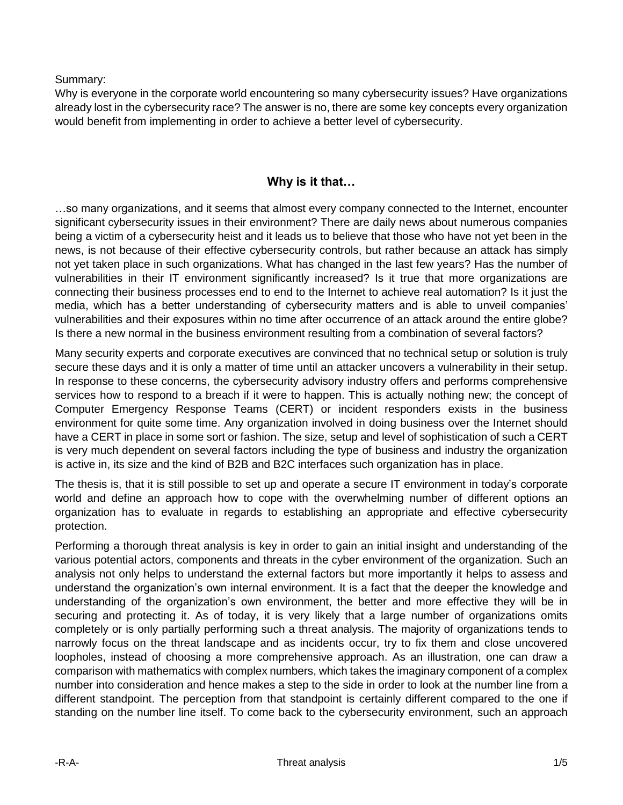Summary:

Why is everyone in the corporate world encountering so many cybersecurity issues? Have organizations already lost in the cybersecurity race? The answer is no, there are some key concepts every organization would benefit from implementing in order to achieve a better level of cybersecurity.

## **Why is it that…**

…so many organizations, and it seems that almost every company connected to the Internet, encounter significant cybersecurity issues in their environment? There are daily news about numerous companies being a victim of a cybersecurity heist and it leads us to believe that those who have not yet been in the news, is not because of their effective cybersecurity controls, but rather because an attack has simply not yet taken place in such organizations. What has changed in the last few years? Has the number of vulnerabilities in their IT environment significantly increased? Is it true that more organizations are connecting their business processes end to end to the Internet to achieve real automation? Is it just the media, which has a better understanding of cybersecurity matters and is able to unveil companies' vulnerabilities and their exposures within no time after occurrence of an attack around the entire globe? Is there a new normal in the business environment resulting from a combination of several factors?

Many security experts and corporate executives are convinced that no technical setup or solution is truly secure these days and it is only a matter of time until an attacker uncovers a vulnerability in their setup. In response to these concerns, the cybersecurity advisory industry offers and performs comprehensive services how to respond to a breach if it were to happen. This is actually nothing new; the concept of Computer Emergency Response Teams (CERT) or incident responders exists in the business environment for quite some time. Any organization involved in doing business over the Internet should have a CERT in place in some sort or fashion. The size, setup and level of sophistication of such a CERT is very much dependent on several factors including the type of business and industry the organization is active in, its size and the kind of B2B and B2C interfaces such organization has in place.

The thesis is, that it is still possible to set up and operate a secure IT environment in today's corporate world and define an approach how to cope with the overwhelming number of different options an organization has to evaluate in regards to establishing an appropriate and effective cybersecurity protection.

Performing a thorough threat analysis is key in order to gain an initial insight and understanding of the various potential actors, components and threats in the cyber environment of the organization. Such an analysis not only helps to understand the external factors but more importantly it helps to assess and understand the organization's own internal environment. It is a fact that the deeper the knowledge and understanding of the organization's own environment, the better and more effective they will be in securing and protecting it. As of today, it is very likely that a large number of organizations omits completely or is only partially performing such a threat analysis. The majority of organizations tends to narrowly focus on the threat landscape and as incidents occur, try to fix them and close uncovered loopholes, instead of choosing a more comprehensive approach. As an illustration, one can draw a comparison with mathematics with complex numbers, which takes the imaginary component of a complex number into consideration and hence makes a step to the side in order to look at the number line from a different standpoint. The perception from that standpoint is certainly different compared to the one if standing on the number line itself. To come back to the cybersecurity environment, such an approach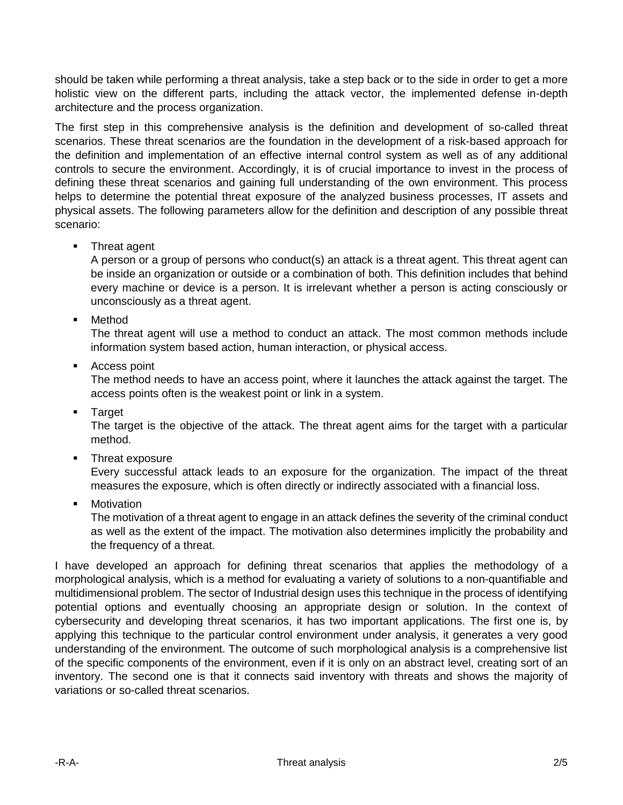should be taken while performing a threat analysis, take a step back or to the side in order to get a more holistic view on the different parts, including the attack vector, the implemented defense in-depth architecture and the process organization.

The first step in this comprehensive analysis is the definition and development of so-called threat scenarios. These threat scenarios are the foundation in the development of a risk-based approach for the definition and implementation of an effective internal control system as well as of any additional controls to secure the environment. Accordingly, it is of crucial importance to invest in the process of defining these threat scenarios and gaining full understanding of the own environment. This process helps to determine the potential threat exposure of the analyzed business processes, IT assets and physical assets. The following parameters allow for the definition and description of any possible threat scenario:

**Threat agent** 

A person or a group of persons who conduct(s) an attack is a threat agent. This threat agent can be inside an organization or outside or a combination of both. This definition includes that behind every machine or device is a person. It is irrelevant whether a person is acting consciously or unconsciously as a threat agent.

**•** Method

The threat agent will use a method to conduct an attack. The most common methods include information system based action, human interaction, or physical access.

■ Access point

The method needs to have an access point, where it launches the attack against the target. The access points often is the weakest point or link in a system.

**Target** 

The target is the objective of the attack. The threat agent aims for the target with a particular method.

**Threat exposure** 

Every successful attack leads to an exposure for the organization. The impact of the threat measures the exposure, which is often directly or indirectly associated with a financial loss.

**Motivation** 

The motivation of a threat agent to engage in an attack defines the severity of the criminal conduct as well as the extent of the impact. The motivation also determines implicitly the probability and the frequency of a threat.

I have developed an approach for defining threat scenarios that applies the methodology of a morphological analysis, which is a method for evaluating a variety of solutions to a non-quantifiable and multidimensional problem. The sector of Industrial design uses this technique in the process of identifying potential options and eventually choosing an appropriate design or solution. In the context of cybersecurity and developing threat scenarios, it has two important applications. The first one is, by applying this technique to the particular control environment under analysis, it generates a very good understanding of the environment. The outcome of such morphological analysis is a comprehensive list of the specific components of the environment, even if it is only on an abstract level, creating sort of an inventory. The second one is that it connects said inventory with threats and shows the majority of variations or so-called threat scenarios.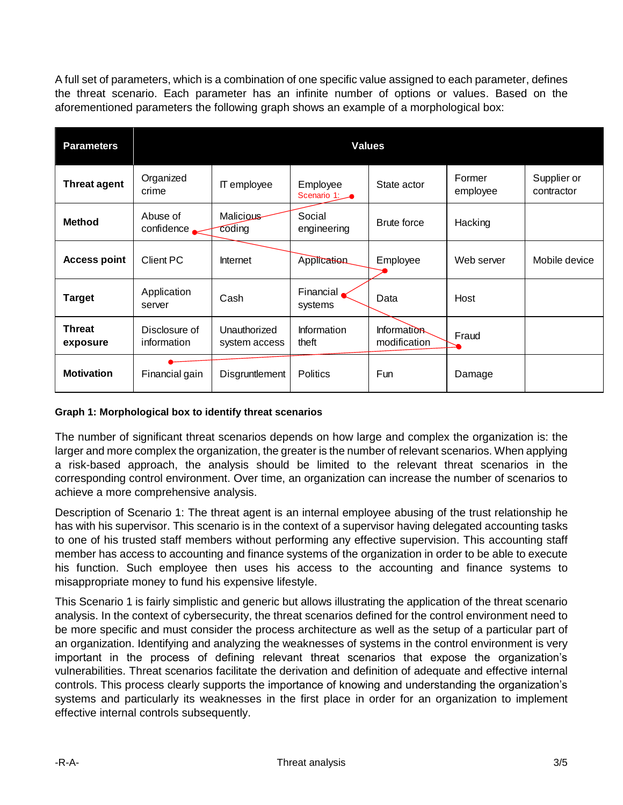A full set of parameters, which is a combination of one specific value assigned to each parameter, defines the threat scenario. Each parameter has an infinite number of options or values. Based on the aforementioned parameters the following graph shows an example of a morphological box:

| <b>Parameters</b>         | <b>Values</b>                |                               |                         |                             |                    |                           |
|---------------------------|------------------------------|-------------------------------|-------------------------|-----------------------------|--------------------|---------------------------|
| <b>Threat agent</b>       | Organized<br>crime           | IT employee                   | Employee<br>Scenario 1: | State actor                 | Former<br>employee | Supplier or<br>contractor |
| <b>Method</b>             | Abuse of<br>confidence       | <b>Malicious</b><br>coding    | Social<br>engineering   | Brute force                 | Hacking            |                           |
| <b>Access point</b>       | Client PC                    | Internet                      | Application             | Employee                    | Web server         | Mobile device             |
| <b>Target</b>             | Application<br>server        | Cash                          | Financial.<br>systems   | Data                        | Host               |                           |
| <b>Threat</b><br>exposure | Disclosure of<br>information | Unauthorized<br>system access | Information<br>theft    | Information<br>modification | Fraud              |                           |
| <b>Motivation</b>         | Financial gain               | Disgruntlement                | <b>Politics</b>         | <b>Fun</b>                  | Damage             |                           |

## **Graph 1: Morphological box to identify threat scenarios**

The number of significant threat scenarios depends on how large and complex the organization is: the larger and more complex the organization, the greater is the number of relevant scenarios. When applying a risk-based approach, the analysis should be limited to the relevant threat scenarios in the corresponding control environment. Over time, an organization can increase the number of scenarios to achieve a more comprehensive analysis.

Description of Scenario 1: The threat agent is an internal employee abusing of the trust relationship he has with his supervisor. This scenario is in the context of a supervisor having delegated accounting tasks to one of his trusted staff members without performing any effective supervision. This accounting staff member has access to accounting and finance systems of the organization in order to be able to execute his function. Such employee then uses his access to the accounting and finance systems to misappropriate money to fund his expensive lifestyle.

This Scenario 1 is fairly simplistic and generic but allows illustrating the application of the threat scenario analysis. In the context of cybersecurity, the threat scenarios defined for the control environment need to be more specific and must consider the process architecture as well as the setup of a particular part of an organization. Identifying and analyzing the weaknesses of systems in the control environment is very important in the process of defining relevant threat scenarios that expose the organization's vulnerabilities. Threat scenarios facilitate the derivation and definition of adequate and effective internal controls. This process clearly supports the importance of knowing and understanding the organization's systems and particularly its weaknesses in the first place in order for an organization to implement effective internal controls subsequently.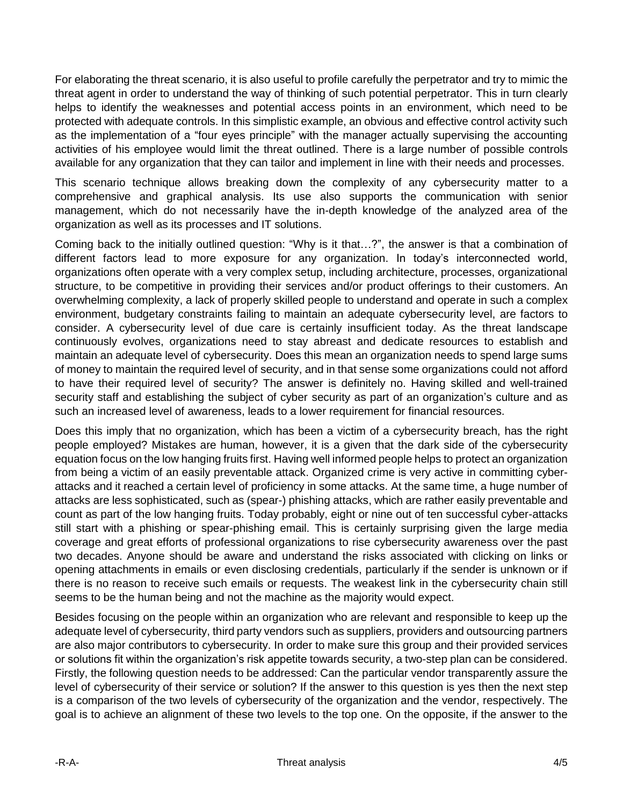For elaborating the threat scenario, it is also useful to profile carefully the perpetrator and try to mimic the threat agent in order to understand the way of thinking of such potential perpetrator. This in turn clearly helps to identify the weaknesses and potential access points in an environment, which need to be protected with adequate controls. In this simplistic example, an obvious and effective control activity such as the implementation of a "four eyes principle" with the manager actually supervising the accounting activities of his employee would limit the threat outlined. There is a large number of possible controls available for any organization that they can tailor and implement in line with their needs and processes.

This scenario technique allows breaking down the complexity of any cybersecurity matter to a comprehensive and graphical analysis. Its use also supports the communication with senior management, which do not necessarily have the in-depth knowledge of the analyzed area of the organization as well as its processes and IT solutions.

Coming back to the initially outlined question: "Why is it that…?", the answer is that a combination of different factors lead to more exposure for any organization. In today's interconnected world, organizations often operate with a very complex setup, including architecture, processes, organizational structure, to be competitive in providing their services and/or product offerings to their customers. An overwhelming complexity, a lack of properly skilled people to understand and operate in such a complex environment, budgetary constraints failing to maintain an adequate cybersecurity level, are factors to consider. A cybersecurity level of due care is certainly insufficient today. As the threat landscape continuously evolves, organizations need to stay abreast and dedicate resources to establish and maintain an adequate level of cybersecurity. Does this mean an organization needs to spend large sums of money to maintain the required level of security, and in that sense some organizations could not afford to have their required level of security? The answer is definitely no. Having skilled and well-trained security staff and establishing the subject of cyber security as part of an organization's culture and as such an increased level of awareness, leads to a lower requirement for financial resources.

Does this imply that no organization, which has been a victim of a cybersecurity breach, has the right people employed? Mistakes are human, however, it is a given that the dark side of the cybersecurity equation focus on the low hanging fruits first. Having well informed people helps to protect an organization from being a victim of an easily preventable attack. Organized crime is very active in committing cyberattacks and it reached a certain level of proficiency in some attacks. At the same time, a huge number of attacks are less sophisticated, such as (spear-) phishing attacks, which are rather easily preventable and count as part of the low hanging fruits. Today probably, eight or nine out of ten successful cyber-attacks still start with a phishing or spear-phishing email. This is certainly surprising given the large media coverage and great efforts of professional organizations to rise cybersecurity awareness over the past two decades. Anyone should be aware and understand the risks associated with clicking on links or opening attachments in emails or even disclosing credentials, particularly if the sender is unknown or if there is no reason to receive such emails or requests. The weakest link in the cybersecurity chain still seems to be the human being and not the machine as the majority would expect.

Besides focusing on the people within an organization who are relevant and responsible to keep up the adequate level of cybersecurity, third party vendors such as suppliers, providers and outsourcing partners are also major contributors to cybersecurity. In order to make sure this group and their provided services or solutions fit within the organization's risk appetite towards security, a two-step plan can be considered. Firstly, the following question needs to be addressed: Can the particular vendor transparently assure the level of cybersecurity of their service or solution? If the answer to this question is yes then the next step is a comparison of the two levels of cybersecurity of the organization and the vendor, respectively. The goal is to achieve an alignment of these two levels to the top one. On the opposite, if the answer to the